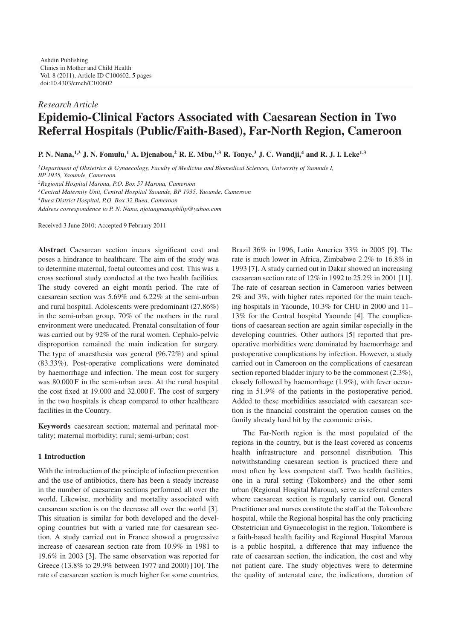# *Research Article* **Epidemio-Clinical Factors Associated with Caesarean Section in Two Referral Hospitals (Public/Faith-Based), Far-North Region, Cameroon**

**P. N. Nana,1,3 J. N. Fomulu,<sup>1</sup> A. Djenabou,<sup>2</sup> R. E. Mbu,1,3 R. Tonye,3 J. C. Wandji,4 and R. J. I. Leke1,3**

*1Department of Obstetrics & Gynaecology, Faculty of Medicine and Biomedical Sciences, University of Yaounde I, BP 1935, Yaounde, Cameroon*

*2Regional Hospital Maroua, P.O. Box 57 Maroua, Cameroon*

*3Central Maternity Unit, Central Hospital Yaounde, BP 1935, Yaounde, Cameroon*

*4Buea District Hospital, P.O. Box 32 Buea, Cameroon*

*Address correspondence to P. N. Nana, njotangnanaphilip@yahoo.com*

Received 3 June 2010; Accepted 9 February 2011

**Abstract** Caesarean section incurs significant cost and poses a hindrance to healthcare. The aim of the study was to determine maternal, foetal outcomes and cost. This was a cross sectional study conducted at the two health facilities. The study covered an eight month period. The rate of caesarean section was 5.69% and 6.22% at the semi-urban and rural hospital. Adolescents were predominant (27.86%) in the semi-urban group. 70% of the mothers in the rural environment were uneducated. Prenatal consultation of four was carried out by 92% of the rural women. Cephalo-pelvic disproportion remained the main indication for surgery. The type of anaesthesia was general (96.72%) and spinal (83.33%). Post-operative complications were dominated by haemorrhage and infection. The mean cost for surgery was 80.000 F in the semi-urban area. At the rural hospital the cost fixed at 19.000 and 32.000 F. The cost of surgery in the two hospitals is cheap compared to other healthcare facilities in the Country.

**Keywords** caesarean section; maternal and perinatal mortality; maternal morbidity; rural; semi-urban; cost

#### **1 Introduction**

With the introduction of the principle of infection prevention and the use of antibiotics, there has been a steady increase in the number of caesarean sections performed all over the world. Likewise, morbidity and mortality associated with caesarean section is on the decrease all over the world [\[3\]](#page-4-1). This situation is similar for both developed and the developing countries but with a varied rate for caesarean section. A study carried out in France showed a progressive increase of caesarean section rate from 10.9% in 1981 to 19.6% in 2003 [\[3\]](#page-4-1). The same observation was reported for Greece (13.8% to 29.9% between 1977 and 2000) [\[10\]](#page-4-2). The rate of caesarean section is much higher for some countries,

Brazil 36% in 1996, Latin America 33% in 2005 [\[9\]](#page-4-3). The rate is much lower in Africa, Zimbabwe 2.2% to 16.8% in 1993 [\[7\]](#page-4-4). A study carried out in Dakar showed an increasing caesarean section rate of 12% in 1992 to 25.2% in 2001 [\[11\]](#page-4-5). The rate of cesarean section in Cameroon varies between 2% and 3%, with higher rates reported for the main teaching hospitals in Yaounde, 10.3% for CHU in 2000 and 11– 13% for the Central hospital Yaounde [\[4\]](#page-4-6). The complications of caesarean section are again similar especially in the developing countries. Other authors [\[5\]](#page-4-7) reported that preoperative morbidities were dominated by haemorrhage and postoperative complications by infection. However, a study carried out in Cameroon on the complications of caesarean section reported bladder injury to be the commonest (2.3%), closely followed by haemorrhage (1.9%), with fever occurring in 51.9% of the patients in the postoperative period. Added to these morbidities associated with caesarean section is the financial constraint the operation causes on the family already hard hit by the economic crisis.

The Far-North region is the most populated of the regions in the country, but is the least covered as concerns health infrastructure and personnel distribution. This notwithstanding caesarean section is practiced there and most often by less competent staff. Two health facilities, one in a rural setting (Tokombere) and the other semi urban (Regional Hospital Maroua), serve as referral centers where caesarean section is regularly carried out. General Practitioner and nurses constitute the staff at the Tokombere hospital, while the Regional hospital has the only practicing Obstetrician and Gynaecologist in the region. Tokombere is a faith-based health facility and Regional Hospital Maroua is a public hospital, a difference that may influence the rate of caesarean section, the indication, the cost and why not patient care. The study objectives were to determine the quality of antenatal care, the indications, duration of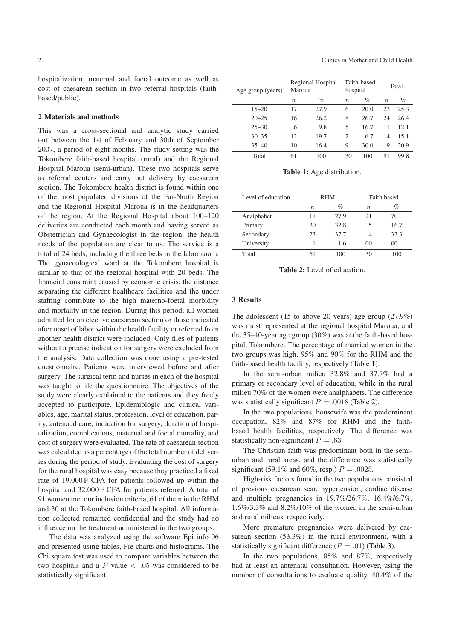hospitalization, maternal and foetal outcome as well as cost of caesarean section in two referral hospitals (faithbased/public).

#### **2 Materials and methods**

This was a cross-sectional and analytic study carried out between the 1st of February and 30th of September 2007, a period of eight months. The study setting was the Tokombere faith-based hospital (rural) and the Regional Hospital Maroua (semi-urban). These two hospitals serve as referral centers and carry out delivery by caesarean section. The Tokombere health district is found within one of the most populated divisions of the Far-North Region and the Regional Hospital Maroua is in the headquarters of the region. At the Regional Hospital about 100–120 deliveries are conducted each month and having served as Obstetrician and Gynaecologist in the region, the health needs of the population are clear to us. The service is a total of 24 beds, including the three beds in the labor room. The gynaecological ward at the Tokombere hospital is similar to that of the regional hospital with 20 beds. The financial constraint caused by economic crisis, the distance separating the different healthcare facilities and the under staffing contribute to the high materno-foetal morbidity and mortality in the region. During this period, all women admitted for an elective caesarean section or those indicated after onset of labor within the health facility or referred from another health district were included. Only files of patients without a precise indication for surgery were excluded from the analysis. Data collection was done using a pre-tested questionnaire. Patients were interviewed before and after surgery. The surgical term and nurses in each of the hospital was taught to file the questionnaire. The objectives of the study were clearly explained to the patients and they freely accepted to participate. Epidemiologic and clinical variables, age, marital status, profession, level of education, parity, antenatal care, indication for surgery, duration of hospitalization, complications, maternal and foetal mortality, and cost of surgery were evaluated. The rate of caesarean section was calculated as a percentage of the total number of deliveries during the period of study. Evaluating the cost of surgery for the rural hospital was easy because they practiced a fixed rate of 19.000 F CFA for patients followed up within the hospital and 32.000 F CFA for patients referred. A total of 91 women met our inclusion criteria, 61 of them in the RHM and 30 at the Tokombere faith-based hospital. All information collected remained confidential and the study had no influence on the treatment administered in the two groups.

The data was analyzed using the software Epi info 06 and presented using tables, Pie charts and histograms. The Chi square test was used to compare variables between the two hospitals and a *P* value *< .*05 was considered to be statistically significant.

| Age group (years) | Maroua           | Regional Hospital | hospital | Faith-based |                  | Total |
|-------------------|------------------|-------------------|----------|-------------|------------------|-------|
|                   | $\boldsymbol{n}$ | $\%$              | $\eta$   | $\%$        | $\boldsymbol{n}$ | $\%$  |
| $15 - 20$         | 17               | 27.9              | 6        | 20.0        | 23               | 25.3  |
| $20 - 25$         | 16               | 26.2              | 8        | 26.7        | 24               | 26.4  |
| $25 - 30$         | 6                | 9.8               | 5        | 16.7        | 11               | 12.1  |
| $30 - 35$         | 12               | 19.7              | 2        | 6.7         | 14               | 15.1  |
| $35 - 40$         | 10               | 16.4              | 9        | 30.0        | 19               | 20.9  |
| Total             | 61               | 100               | 30       | 100         | 91               | 99.8  |

<span id="page-1-0"></span>**Table 1:** Age distribution.

| Level of education | RHM         |      | Faith based    |      |
|--------------------|-------------|------|----------------|------|
|                    | $n_{\cdot}$ | $\%$ | $n_{\cdot}$    | %    |
| Analphabet         | 17          | 27.9 | 21             | 70   |
| Primary            | 20          | 32.8 |                | 16.7 |
| Secondary          | 23          | 37.7 |                | 33.3 |
| University         |             | 1.6  | 0 <sup>0</sup> | 00   |
| Total              | 61          | 100  | 30             | 100  |

<span id="page-1-1"></span>**Table 2:** Level of education.

## **3 Results**

The adolescent  $(15 \text{ to above } 20 \text{ years})$  age group  $(27.9\%)$ was most represented at the regional hospital Maroua, and the 35–40-year age group (30%) was at the faith-based hospital, Tokombere. The percentage of married women in the two groups was high, 95% and 90% for the RHM and the faith-based health facility, respectively [\(Table 1\)](#page-1-0).

In the semi-urban milieu 32.8% and 37.7% had a primary or secondary level of education, while in the rural milieu 70% of the women were analphabets. The difference was statistically significant  $P = .0018$  [\(Table 2\)](#page-1-1).

In the two populations, housewife was the predominant occupation, 82% and 87% for RHM and the faithbased health facilities, respectively. The difference was statistically non-significant  $P = .63$ .

The Christian faith was predominant both in the semiurban and rural areas, and the difference was statistically significant (59.1% and 60%, resp.)  $P = .0025$ .

High-risk factors found in the two populations consisted of previous caesarean scar, hypertension, cardiac disease and multiple pregnancies in 19.7%/26.7%, 16.4%/6.7%, 1.6%/3.3% and 8.2%/10% of the women in the semi-urban and rural milieus, respectively.

More premature pregnancies were delivered by caesarean section (53.3%) in the rural environment, with a statistically significant difference  $(P = .01)$  [\(Table 3\)](#page-2-0).

In the two populations, 85% and 87%, respectively had at least an antenatal consultation. However, using the number of consultations to evaluate quality, 40.4% of the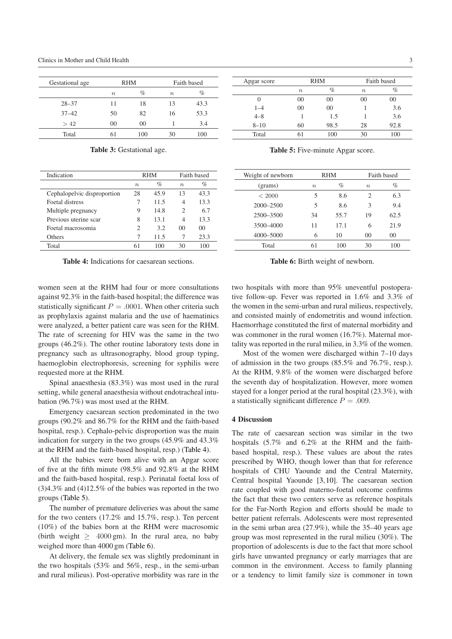| Gestational age |       | <b>RHM</b> |                  | Faith based |  |
|-----------------|-------|------------|------------------|-------------|--|
|                 | $\,n$ | %          | $\boldsymbol{n}$ | %           |  |
| $28 - 37$       | 11    | 18         | 13               | 43.3        |  |
| $37 - 42$       | 50    | 82         | 16               | 53.3        |  |
| >42             | 00    | 00         |                  | 3.4         |  |
| Total           |       | 100        | 30               | 100         |  |

<span id="page-2-0"></span>**Table 3:** Gestational age.

| Indication                  | <b>RHM</b>  |      | Faith based |         |
|-----------------------------|-------------|------|-------------|---------|
|                             | $n_{\rm c}$ | %    | $\eta$      | %       |
| Cephalopelvic disproportion | 28          | 45.9 | 13          | 43.3    |
| Foetal distress             |             | 11.5 | 4           | 13.3    |
| Multiple pregnancy          | 9           | 14.8 | 2           | 6.7     |
| Previous uterine scar       | 8           | 13.1 | 4           | 13.3    |
| Foetal macrosomia           | 2           | 3.2. | $^{00}$     | $^{00}$ |
| Others                      | 7           | 11.5 |             | 23.3    |
| Total                       | 61          | 100  | 30          | 100     |

<span id="page-2-1"></span>**Table 4:** Indications for caesarean sections.

women seen at the RHM had four or more consultations against 92.3% in the faith-based hospital; the difference was statistically significant  $P = .0001$ . When other criteria such as prophylaxis against malaria and the use of haematinics were analyzed, a better patient care was seen for the RHM. The rate of screening for HIV was the same in the two groups (46.2%). The other routine laboratory tests done in pregnancy such as ultrasonography, blood group typing, haemoglobin electrophoresis, screening for syphilis were requested more at the RHM.

Spinal anaesthesia (83.3%) was most used in the rural setting, while general anaesthesia without endotracheal intubation (96.7%) was most used at the RHM.

Emergency caesarean section predominated in the two groups (90.2% and 86.7% for the RHM and the faith-based hospital, resp.). Cephalo-pelvic disproportion was the main indication for surgery in the two groups (45.9% and 43.3% at the RHM and the faith-based hospital, resp.) [\(Table 4\)](#page-2-1).

All the babies were born alive with an Apgar score of five at the fifth minute (98.5% and 92.8% at the RHM and the faith-based hospital, resp.). Perinatal foetal loss of (3)4.3% and (4)12.5% of the babies was reported in the two groups [\(Table 5\)](#page-2-2).

The number of premature deliveries was about the same for the two centers (17.2% and 15.7%, resp.). Ten percent (10%) of the babies born at the RHM were macrosomic (birth weight  $>$  4000 gm). In the rural area, no baby weighed more than 4000 gm [\(Table 6\)](#page-2-3).

At delivery, the female sex was slightly predominant in the two hospitals (53% and 56%, resp., in the semi-urban and rural milieus). Post-operative morbidity was rare in the

| Apgar score | <b>RHM</b>       |                |                  | Faith based |
|-------------|------------------|----------------|------------------|-------------|
|             | $\boldsymbol{n}$ | $\%$           | $\boldsymbol{n}$ | $\%$        |
|             | 00               | 00             | 00               | 00          |
| $1 - 4$     | 0 <sup>0</sup>   | 0 <sup>0</sup> |                  | 3.6         |
| $4 - 8$     |                  | 1.5            |                  | 3.6         |
| $8 - 10$    | 60               | 98.5           | 28               | 92.8        |
| Total       |                  | 100            | 30               | 100         |

<span id="page-2-2"></span>**Table 5:** Five-minute Apgar score.

| Weight of newborn | <b>RHM</b> |      | Faith based    |                |
|-------------------|------------|------|----------------|----------------|
| (grams)           | $\, n$     | %    | $\eta$         | $\%$           |
| ${}<$ 2000        | 5          | 8.6  | 2              | 6.3            |
| $2000 - 2500$     | 5          | 8.6  | 3              | 9.4            |
| 2500-3500         | 34         | 55.7 | 19             | 62.5           |
| 3500-4000         | 11         | 17.1 | 6              | 21.9           |
| 4000-5000         | 6          | 10   | 0 <sup>0</sup> | 0 <sup>0</sup> |
| Total             | 61         | 100  | 30             | 100            |

<span id="page-2-3"></span>**Table 6:** Birth weight of newborn.

two hospitals with more than 95% uneventful postoperative follow-up. Fever was reported in 1.6% and 3.3% of the women in the semi-urban and rural milieus, respectively, and consisted mainly of endometritis and wound infection. Haemorrhage constituted the first of maternal morbidity and was commoner in the rural women (16.7%). Maternal mortality was reported in the rural milieu, in 3.3% of the women.

Most of the women were discharged within 7–10 days of admission in the two groups (85.5% and 76.7%, resp.). At the RHM, 9.8% of the women were discharged before the seventh day of hospitalization. However, more women stayed for a longer period at the rural hospital (23.3%), with a statistically significant difference  $P = .009$ .

## **4 Discussion**

The rate of caesarean section was similar in the two hospitals (5.7% and 6.2% at the RHM and the faithbased hospital, resp.). These values are about the rates prescribed by WHO, though lower than that for reference hospitals of CHU Yaounde and the Central Maternity, Central hospital Yaounde [\[3,](#page-4-1)[10\]](#page-4-2). The caesarean section rate coupled with good materno-foetal outcome confirms the fact that these two centers serve as reference hospitals for the Far-North Region and efforts should be made to better patient referrals. Adolescents were most represented in the semi urban area (27.9%), while the 35–40 years age group was most represented in the rural milieu (30%). The proportion of adolescents is due to the fact that more school girls have unwanted pregnancy or early marriages that are common in the environment. Access to family planning or a tendency to limit family size is commoner in town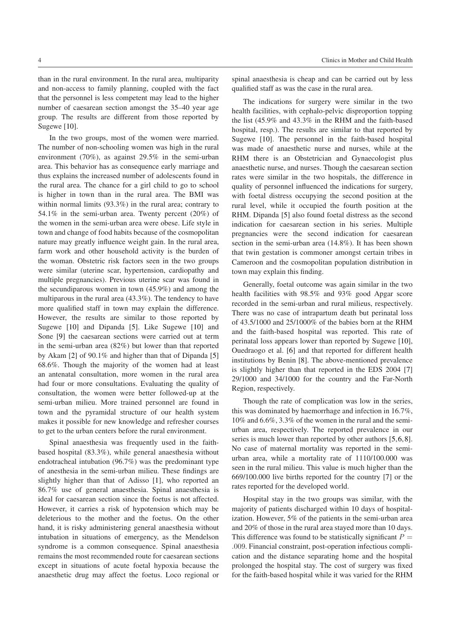Sugewe [\[10\]](#page-4-2).

that the personnel is less competent may lead to the higher number of caesarean section amongst the 35–40 year age group. The results are different from those reported by In the two groups, most of the women were married. The number of non-schooling women was high in the rural qualified staff as was the case in the rural area. The indications for surgery were similar in the two health facilities, with cephalo-pelvic disproportion topping the list (45.9% and 43.3% in the RHM and the faith-based hospital, resp.). The results are similar to that reported by Sugewe [\[10\]](#page-4-2). The personnel in the faith-based hospital was made of anaesthetic nurse and nurses, while at the RHM there is an Obstetrician and Gynaecologist plus anaesthetic nurse, and nurses. Though the caesarean section

town may explain this finding.

environment (70%), as against 29.5% in the semi-urban area. This behavior has as consequence early marriage and thus explains the increased number of adolescents found in the rural area. The chance for a girl child to go to school is higher in town than in the rural area. The BMI was within normal limits (93.3%) in the rural area; contrary to 54.1% in the semi-urban area. Twenty percent (20%) of the women in the semi-urban area were obese. Life style in town and change of food habits because of the cosmopolitan nature may greatly influence weight gain. In the rural area, farm work and other household activity is the burden of the woman. Obstetric risk factors seen in the two groups were similar (uterine scar, hypertension, cardiopathy and multiple pregnancies). Previous uterine scar was found in the secundiparous women in town (45.9%) and among the multiparous in the rural area (43.3%). The tendency to have more qualified staff in town may explain the difference. However, the results are similar to those reported by Sugewe [\[10\]](#page-4-2) and Dipanda [\[5\]](#page-4-7). Like Sugewe [\[10\]](#page-4-2) and Sone [\[9\]](#page-4-3) the caesarean sections were carried out at term in the semi-urban area (82%) but lower than that reported by Akam [\[2\]](#page-4-8) of 90.1% and higher than that of Dipanda [\[5\]](#page-4-7) 68.6%. Though the majority of the women had at least an antenatal consultation, more women in the rural area had four or more consultations. Evaluating the quality of consultation, the women were better followed-up at the semi-urban milieu. More trained personnel are found in town and the pyramidal structure of our health system makes it possible for new knowledge and refresher courses to get to the urban centers before the rural environment.

Spinal anaesthesia was frequently used in the faithbased hospital (83.3%), while general anaesthesia without endotracheal intubation (96.7%) was the predominant type of anesthesia in the semi-urban milieu. These findings are slightly higher than that of Adisso [\[1\]](#page-4-9), who reported an 86.7% use of general anaesthesia. Spinal anaesthesia is ideal for caesarean section since the foetus is not affected. However, it carries a risk of hypotension which may be deleterious to the mother and the foetus. On the other hand, it is risky administering general anaesthesia without intubation in situations of emergency, as the Mendelson syndrome is a common consequence. Spinal anaesthesia remains the most recommended route for caesarean sections except in situations of acute foetal hypoxia because the anaesthetic drug may affect the foetus. Loco regional or

Generally, foetal outcome was again similar in the two health facilities with 98.5% and 93% good Apgar score recorded in the semi-urban and rural milieus, respectively. There was no case of intrapartum death but perinatal loss of 43.5/1000 and 25/1000% of the babies born at the RHM and the faith-based hospital was reported. This rate of perinatal loss appears lower than reported by Sugewe [\[10\]](#page-4-2), Ouedraogo et al. [\[6\]](#page-4-10) and that reported for different health institutions by Benin [\[8\]](#page-4-11). The above-mentioned prevalence is slightly higher than that reported in the EDS 2004 [\[7\]](#page-4-4) 29/1000 and 34/1000 for the country and the Far-North Region, respectively.

rates were similar in the two hospitals, the difference in quality of personnel influenced the indications for surgery, with foetal distress occupying the second position at the rural level, while it occupied the fourth position at the RHM. Dipanda [\[5\]](#page-4-7) also found foetal distress as the second indication for caesarean section in his series. Multiple pregnancies were the second indication for caesarean section in the semi-urban area (14.8%). It has been shown that twin gestation is commoner amongst certain tribes in Cameroon and the cosmopolitan population distribution in

Though the rate of complication was low in the series, this was dominated by haemorrhage and infection in 16.7%, 10% and 6.6%, 3.3% of the women in the rural and the semiurban area, respectively. The reported prevalence in our series is much lower than reported by other authors [\[5,](#page-4-7)[6,](#page-4-10)[8\]](#page-4-11). No case of maternal mortality was reported in the semiurban area, while a mortality rate of 1110/100.000 was seen in the rural milieu. This value is much higher than the 669/100.000 live births reported for the country [\[7\]](#page-4-4) or the rates reported for the developed world.

Hospital stay in the two groups was similar, with the majority of patients discharged within 10 days of hospitalization. However, 5% of the patients in the semi-urban area and 20% of those in the rural area stayed more than 10 days. This difference was found to be statistically significant  $P =$ *.*009. Financial constraint, post-operation infectious complication and the distance separating home and the hospital prolonged the hospital stay. The cost of surgery was fixed for the faith-based hospital while it was varied for the RHM